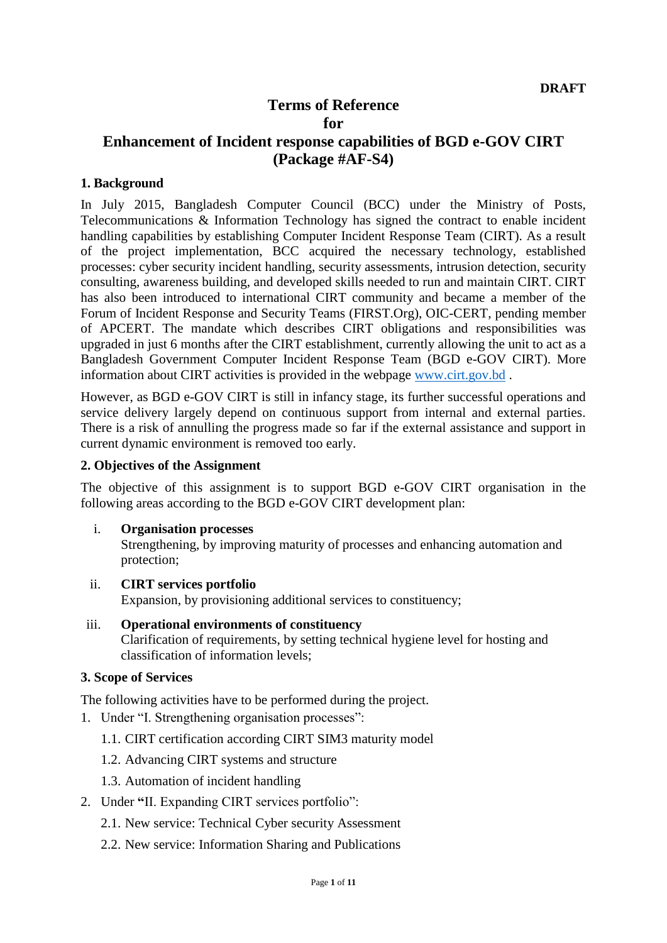# **Terms of Reference for**

# **Enhancement of Incident response capabilities of BGD e-GOV CIRT (Package #AF-S4)**

#### **1. Background**

In July 2015, Bangladesh Computer Council (BCC) under the Ministry of Posts, Telecommunications & Information Technology has signed the contract to enable incident handling capabilities by establishing Computer Incident Response Team (CIRT). As a result of the project implementation, BCC acquired the necessary technology, established processes: cyber security incident handling, security assessments, intrusion detection, security consulting, awareness building, and developed skills needed to run and maintain CIRT. CIRT has also been introduced to international CIRT community and became a member of the Forum of Incident Response and Security Teams (FIRST.Org), OIC-CERT, pending member of APCERT. The mandate which describes CIRT obligations and responsibilities was upgraded in just 6 months after the CIRT establishment, currently allowing the unit to act as a Bangladesh Government Computer Incident Response Team (BGD e-GOV CIRT). More information about CIRT activities is provided in the webpage [www.cirt.gov.bd](http://www.cirt.gov.bd/) .

However, as BGD e-GOV CIRT is still in infancy stage, its further successful operations and service delivery largely depend on continuous support from internal and external parties. There is a risk of annulling the progress made so far if the external assistance and support in current dynamic environment is removed too early.

#### **2. Objectives of the Assignment**

The objective of this assignment is to support BGD e-GOV CIRT organisation in the following areas according to the BGD e-GOV CIRT development plan:

i. **Organisation processes**

Strengthening, by improving maturity of processes and enhancing automation and protection;

- ii. **CIRT services portfolio** Expansion, by provisioning additional services to constituency;
- iii. **Operational environments of constituency** Clarification of requirements, by setting technical hygiene level for hosting and classification of information levels;

#### **3. Scope of Services**

The following activities have to be performed during the project.

- 1. Under "I. Strengthening organisation processes":
	- 1.1. CIRT certification according CIRT SIM3 maturity model
	- 1.2. Advancing CIRT systems and structure
	- 1.3. Automation of incident handling
- 2. Under **"**II. Expanding CIRT services portfolio":
	- 2.1. New service: Technical Cyber security Assessment
	- 2.2. New service: Information Sharing and Publications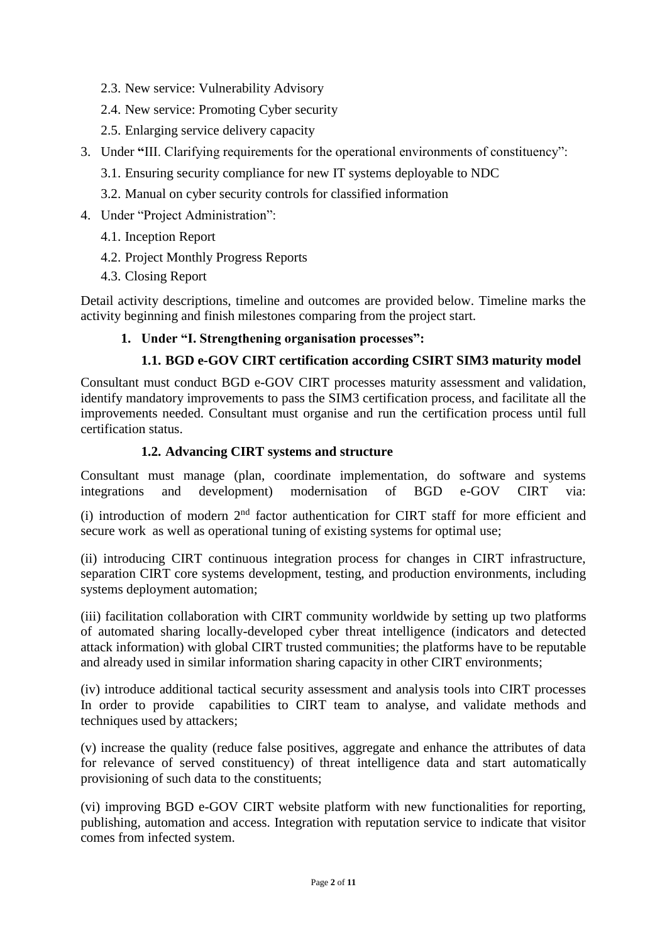- 2.3. New service: Vulnerability Advisory
- 2.4. New service: Promoting Cyber security
- 2.5. Enlarging service delivery capacity
- 3. Under **"**III. Clarifying requirements for the operational environments of constituency":
	- 3.1. Ensuring security compliance for new IT systems deployable to NDC
	- 3.2. Manual on cyber security controls for classified information
- 4. Under "Project Administration":
	- 4.1. Inception Report
	- 4.2. Project Monthly Progress Reports
	- 4.3. Closing Report

Detail activity descriptions, timeline and outcomes are provided below. Timeline marks the activity beginning and finish milestones comparing from the project start.

# **1. Under "I. Strengthening organisation processes":**

# **1.1. BGD e-GOV CIRT certification according CSIRT SIM3 maturity model**

Consultant must conduct BGD e-GOV CIRT processes maturity assessment and validation, identify mandatory improvements to pass the SIM3 certification process, and facilitate all the improvements needed. Consultant must organise and run the certification process until full certification status.

## **1.2. Advancing CIRT systems and structure**

Consultant must manage (plan, coordinate implementation, do software and systems integrations and development) modernisation of BGD e-GOV CIRT via:

(i) introduction of modern  $2<sup>nd</sup>$  factor authentication for CIRT staff for more efficient and secure work as well as operational tuning of existing systems for optimal use;

(ii) introducing CIRT continuous integration process for changes in CIRT infrastructure, separation CIRT core systems development, testing, and production environments, including systems deployment automation;

(iii) facilitation collaboration with CIRT community worldwide by setting up two platforms of automated sharing locally-developed cyber threat intelligence (indicators and detected attack information) with global CIRT trusted communities; the platforms have to be reputable and already used in similar information sharing capacity in other CIRT environments;

(iv) introduce additional tactical security assessment and analysis tools into CIRT processes In order to provide capabilities to CIRT team to analyse, and validate methods and techniques used by attackers;

(v) increase the quality (reduce false positives, aggregate and enhance the attributes of data for relevance of served constituency) of threat intelligence data and start automatically provisioning of such data to the constituents;

(vi) improving BGD e-GOV CIRT website platform with new functionalities for reporting, publishing, automation and access. Integration with reputation service to indicate that visitor comes from infected system.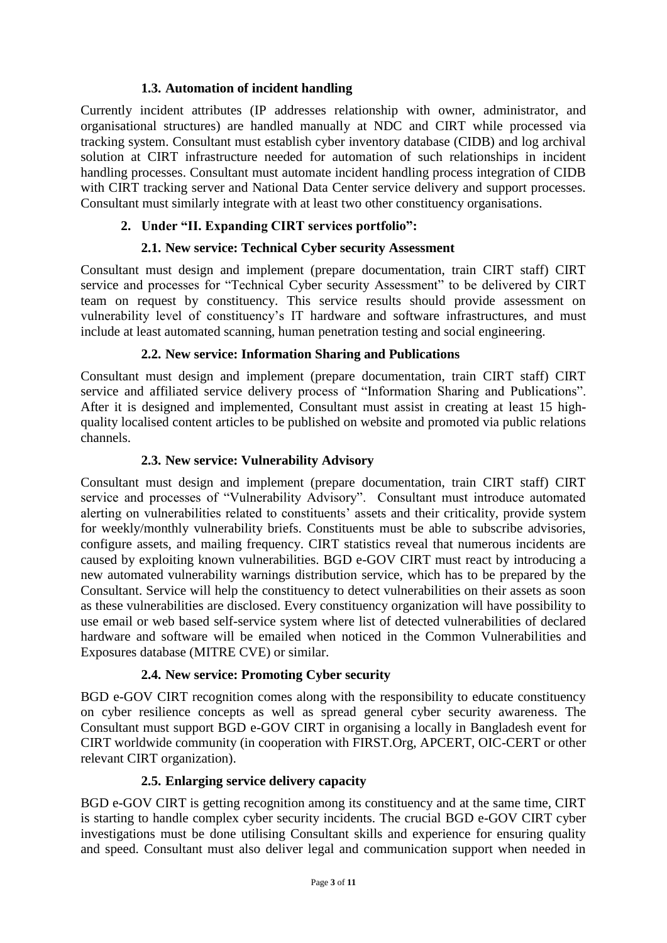# **1.3. Automation of incident handling**

Currently incident attributes (IP addresses relationship with owner, administrator, and organisational structures) are handled manually at NDC and CIRT while processed via tracking system. Consultant must establish cyber inventory database (CIDB) and log archival solution at CIRT infrastructure needed for automation of such relationships in incident handling processes. Consultant must automate incident handling process integration of CIDB with CIRT tracking server and National Data Center service delivery and support processes. Consultant must similarly integrate with at least two other constituency organisations.

# **2. Under "II. Expanding CIRT services portfolio":**

# **2.1. New service: Technical Cyber security Assessment**

Consultant must design and implement (prepare documentation, train CIRT staff) CIRT service and processes for "Technical Cyber security Assessment" to be delivered by CIRT team on request by constituency. This service results should provide assessment on vulnerability level of constituency's IT hardware and software infrastructures, and must include at least automated scanning, human penetration testing and social engineering.

## **2.2. New service: Information Sharing and Publications**

Consultant must design and implement (prepare documentation, train CIRT staff) CIRT service and affiliated service delivery process of "Information Sharing and Publications". After it is designed and implemented, Consultant must assist in creating at least 15 highquality localised content articles to be published on website and promoted via public relations channels.

## **2.3. New service: Vulnerability Advisory**

Consultant must design and implement (prepare documentation, train CIRT staff) CIRT service and processes of "Vulnerability Advisory". Consultant must introduce automated alerting on vulnerabilities related to constituents' assets and their criticality, provide system for weekly/monthly vulnerability briefs. Constituents must be able to subscribe advisories, configure assets, and mailing frequency. CIRT statistics reveal that numerous incidents are caused by exploiting known vulnerabilities. BGD e-GOV CIRT must react by introducing a new automated vulnerability warnings distribution service, which has to be prepared by the Consultant. Service will help the constituency to detect vulnerabilities on their assets as soon as these vulnerabilities are disclosed. Every constituency organization will have possibility to use email or web based self-service system where list of detected vulnerabilities of declared hardware and software will be emailed when noticed in the Common Vulnerabilities and Exposures database (MITRE CVE) or similar.

## **2.4. New service: Promoting Cyber security**

BGD e-GOV CIRT recognition comes along with the responsibility to educate constituency on cyber resilience concepts as well as spread general cyber security awareness. The Consultant must support BGD e-GOV CIRT in organising a locally in Bangladesh event for CIRT worldwide community (in cooperation with FIRST.Org, APCERT, OIC-CERT or other relevant CIRT organization).

## **2.5. Enlarging service delivery capacity**

BGD e-GOV CIRT is getting recognition among its constituency and at the same time, CIRT is starting to handle complex cyber security incidents. The crucial BGD e-GOV CIRT cyber investigations must be done utilising Consultant skills and experience for ensuring quality and speed. Consultant must also deliver legal and communication support when needed in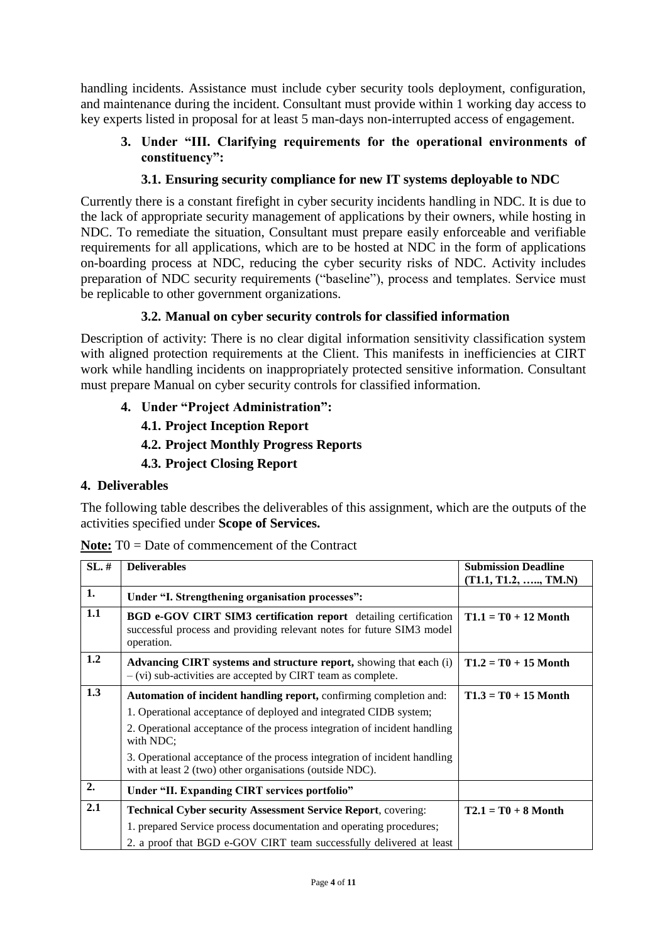handling incidents. Assistance must include cyber security tools deployment, configuration, and maintenance during the incident. Consultant must provide within 1 working day access to key experts listed in proposal for at least 5 man-days non-interrupted access of engagement.

# **3. Under "III. Clarifying requirements for the operational environments of constituency":**

# **3.1. Ensuring security compliance for new IT systems deployable to NDC**

Currently there is a constant firefight in cyber security incidents handling in NDC. It is due to the lack of appropriate security management of applications by their owners, while hosting in NDC. To remediate the situation, Consultant must prepare easily enforceable and verifiable requirements for all applications, which are to be hosted at NDC in the form of applications on-boarding process at NDC, reducing the cyber security risks of NDC. Activity includes preparation of NDC security requirements ("baseline"), process and templates. Service must be replicable to other government organizations.

# **3.2. Manual on cyber security controls for classified information**

Description of activity: There is no clear digital information sensitivity classification system with aligned protection requirements at the Client. This manifests in inefficiencies at CIRT work while handling incidents on inappropriately protected sensitive information. Consultant must prepare Manual on cyber security controls for classified information.

**4. Under "Project Administration":**

# **4.1. Project Inception Report**

- **4.2. Project Monthly Progress Reports**
- **4.3. Project Closing Report**

## **4. Deliverables**

The following table describes the deliverables of this assignment, which are the outputs of the activities specified under **Scope of Services.**

| SL, # | <b>Deliverables</b>                                                                                                                                            | <b>Submission Deadline</b>   |  |
|-------|----------------------------------------------------------------------------------------------------------------------------------------------------------------|------------------------------|--|
|       |                                                                                                                                                                | $(T1.1, T1.2, \ldots, TM.N)$ |  |
| 1.    | Under "I. Strengthening organisation processes":                                                                                                               |                              |  |
| 1.1   | <b>BGD e-GOV CIRT SIM3 certification report</b> detailing certification<br>successful process and providing relevant notes for future SIM3 model<br>operation. | $T1.1 = T0 + 12$ Month       |  |
| 1.2   | Advancing CIRT systems and structure report, showing that each (i)<br>$-$ (vi) sub-activities are accepted by CIRT team as complete.                           | $T1.2 = T0 + 15$ Month       |  |
| 1.3   | Automation of incident handling report, confirming completion and:                                                                                             | $T1.3 = T0 + 15$ Month       |  |
|       | 1. Operational acceptance of deployed and integrated CIDB system;                                                                                              |                              |  |
|       | 2. Operational acceptance of the process integration of incident handling<br>with NDC;                                                                         |                              |  |
|       | 3. Operational acceptance of the process integration of incident handling<br>with at least 2 (two) other organisations (outside NDC).                          |                              |  |
| 2.    | Under "II. Expanding CIRT services portfolio"                                                                                                                  |                              |  |
| 2.1   | <b>Technical Cyber security Assessment Service Report, covering:</b>                                                                                           | $T2.1 = T0 + 8$ Month        |  |
|       | 1. prepared Service process documentation and operating procedures;                                                                                            |                              |  |
|       | 2. a proof that BGD e-GOV CIRT team successfully delivered at least                                                                                            |                              |  |

**Note:** T0 = Date of commencement of the Contract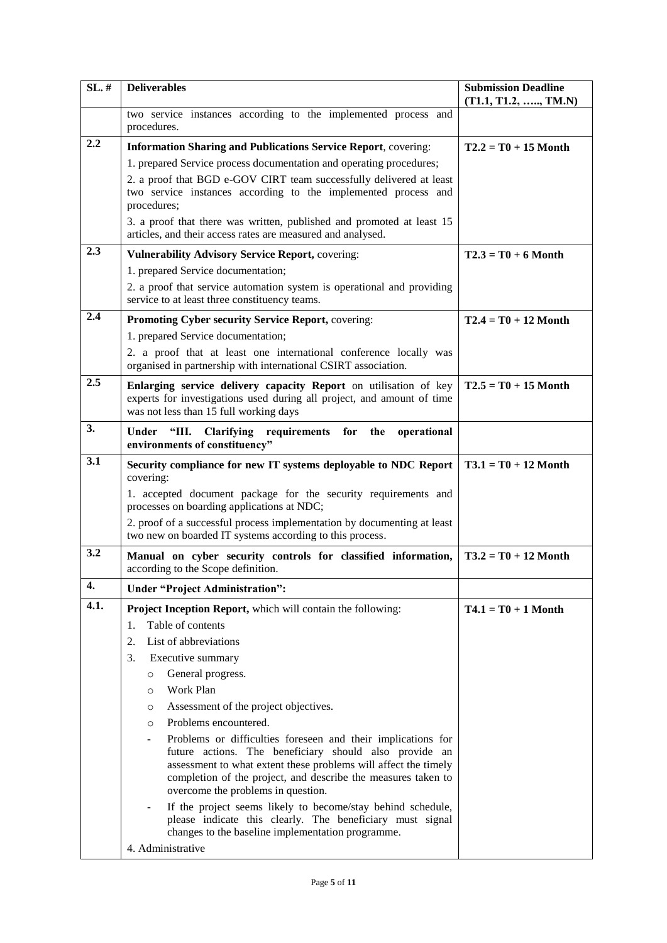| SL, # | <b>Deliverables</b>                                                                                                                                                                                                                                                                                                                                                                                                                                                                                                                                                                                                                                                                                                                                                                   | <b>Submission Deadline</b><br>$(T1.1, T1.2, \ldots, TM.N)$ |
|-------|---------------------------------------------------------------------------------------------------------------------------------------------------------------------------------------------------------------------------------------------------------------------------------------------------------------------------------------------------------------------------------------------------------------------------------------------------------------------------------------------------------------------------------------------------------------------------------------------------------------------------------------------------------------------------------------------------------------------------------------------------------------------------------------|------------------------------------------------------------|
|       | two service instances according to the implemented process and<br>procedures.                                                                                                                                                                                                                                                                                                                                                                                                                                                                                                                                                                                                                                                                                                         |                                                            |
| 2.2   | <b>Information Sharing and Publications Service Report, covering:</b><br>1. prepared Service process documentation and operating procedures;<br>2. a proof that BGD e-GOV CIRT team successfully delivered at least<br>two service instances according to the implemented process and<br>procedures;<br>3. a proof that there was written, published and promoted at least 15<br>articles, and their access rates are measured and analysed.                                                                                                                                                                                                                                                                                                                                          | $T2.2 = T0 + 15$ Month                                     |
| 2.3   | <b>Vulnerability Advisory Service Report, covering:</b>                                                                                                                                                                                                                                                                                                                                                                                                                                                                                                                                                                                                                                                                                                                               | $T2.3 = T0 + 6$ Month                                      |
|       | 1. prepared Service documentation;<br>2. a proof that service automation system is operational and providing<br>service to at least three constituency teams.                                                                                                                                                                                                                                                                                                                                                                                                                                                                                                                                                                                                                         |                                                            |
| 2.4   | Promoting Cyber security Service Report, covering:                                                                                                                                                                                                                                                                                                                                                                                                                                                                                                                                                                                                                                                                                                                                    | $T2.4 = T0 + 12$ Month                                     |
|       | 1. prepared Service documentation;<br>2. a proof that at least one international conference locally was<br>organised in partnership with international CSIRT association.                                                                                                                                                                                                                                                                                                                                                                                                                                                                                                                                                                                                             |                                                            |
| 2.5   | Enlarging service delivery capacity Report on utilisation of key<br>experts for investigations used during all project, and amount of time<br>was not less than 15 full working days                                                                                                                                                                                                                                                                                                                                                                                                                                                                                                                                                                                                  | $T2.5 = T0 + 15$ Month                                     |
| 3.    | Under<br>"III. Clarifying requirements<br>for<br>the<br>operational<br>environments of constituency"                                                                                                                                                                                                                                                                                                                                                                                                                                                                                                                                                                                                                                                                                  |                                                            |
| 3.1   | Security compliance for new IT systems deployable to NDC Report<br>covering:                                                                                                                                                                                                                                                                                                                                                                                                                                                                                                                                                                                                                                                                                                          | $T3.1 = T0 + 12$ Month                                     |
|       | 1. accepted document package for the security requirements and<br>processes on boarding applications at NDC;                                                                                                                                                                                                                                                                                                                                                                                                                                                                                                                                                                                                                                                                          |                                                            |
|       | 2. proof of a successful process implementation by documenting at least<br>two new on boarded IT systems according to this process.                                                                                                                                                                                                                                                                                                                                                                                                                                                                                                                                                                                                                                                   |                                                            |
| 3.2   | Manual on cyber security controls for classified information,<br>according to the Scope definition.                                                                                                                                                                                                                                                                                                                                                                                                                                                                                                                                                                                                                                                                                   | $T3.2 = T0 + 12$ Month                                     |
| 4.    | <b>Under "Project Administration":</b>                                                                                                                                                                                                                                                                                                                                                                                                                                                                                                                                                                                                                                                                                                                                                |                                                            |
| 4.1.  | Project Inception Report, which will contain the following:<br>Table of contents<br>1.<br>List of abbreviations<br>2.<br>3.<br>Executive summary<br>General progress.<br>$\circ$<br>Work Plan<br>$\circ$<br>Assessment of the project objectives.<br>$\circ$<br>Problems encountered.<br>$\circ$<br>Problems or difficulties foreseen and their implications for<br>future actions. The beneficiary should also provide an<br>assessment to what extent these problems will affect the timely<br>completion of the project, and describe the measures taken to<br>overcome the problems in question.<br>If the project seems likely to become/stay behind schedule,<br>please indicate this clearly. The beneficiary must signal<br>changes to the baseline implementation programme. | $T4.1 = T0 + 1$ Month                                      |
|       | 4. Administrative                                                                                                                                                                                                                                                                                                                                                                                                                                                                                                                                                                                                                                                                                                                                                                     |                                                            |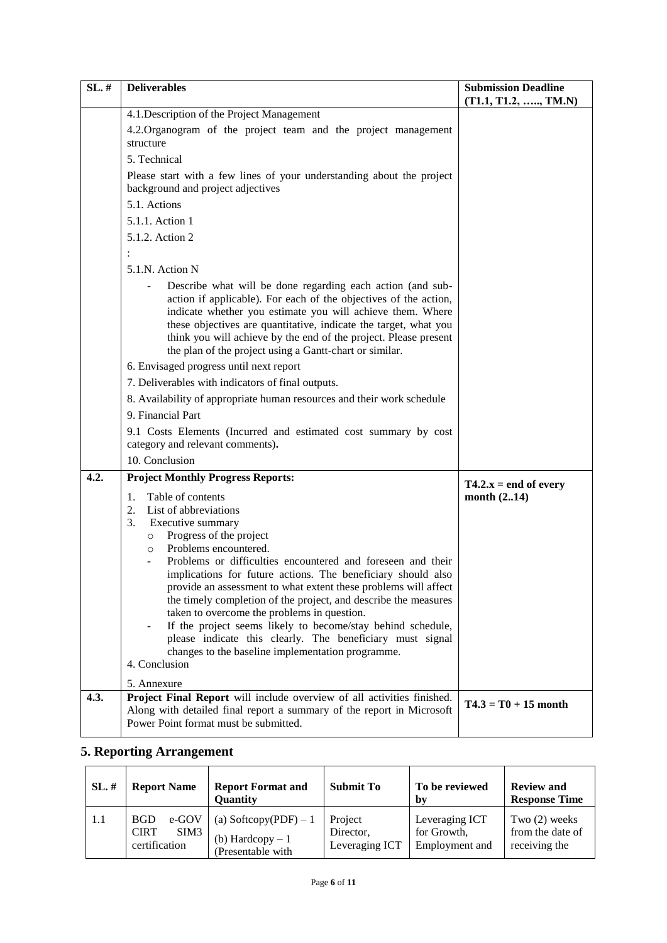| $SL.$ # | <b>Deliverables</b>                                                                                                                                                                                                                                                                                                                                                                                                                                                                                                                                                                                                                                                                        | <b>Submission Deadline</b><br>$(T1.1, T1.2, \ldots, TM.N)$ |
|---------|--------------------------------------------------------------------------------------------------------------------------------------------------------------------------------------------------------------------------------------------------------------------------------------------------------------------------------------------------------------------------------------------------------------------------------------------------------------------------------------------------------------------------------------------------------------------------------------------------------------------------------------------------------------------------------------------|------------------------------------------------------------|
|         | 4.1. Description of the Project Management                                                                                                                                                                                                                                                                                                                                                                                                                                                                                                                                                                                                                                                 |                                                            |
|         | 4.2. Organogram of the project team and the project management<br>structure                                                                                                                                                                                                                                                                                                                                                                                                                                                                                                                                                                                                                |                                                            |
|         | 5. Technical                                                                                                                                                                                                                                                                                                                                                                                                                                                                                                                                                                                                                                                                               |                                                            |
|         | Please start with a few lines of your understanding about the project<br>background and project adjectives                                                                                                                                                                                                                                                                                                                                                                                                                                                                                                                                                                                 |                                                            |
|         | 5.1. Actions                                                                                                                                                                                                                                                                                                                                                                                                                                                                                                                                                                                                                                                                               |                                                            |
|         | 5.1.1. Action 1                                                                                                                                                                                                                                                                                                                                                                                                                                                                                                                                                                                                                                                                            |                                                            |
|         | 5.1.2. Action 2                                                                                                                                                                                                                                                                                                                                                                                                                                                                                                                                                                                                                                                                            |                                                            |
|         |                                                                                                                                                                                                                                                                                                                                                                                                                                                                                                                                                                                                                                                                                            |                                                            |
|         | 5.1.N. Action N                                                                                                                                                                                                                                                                                                                                                                                                                                                                                                                                                                                                                                                                            |                                                            |
|         | Describe what will be done regarding each action (and sub-<br>action if applicable). For each of the objectives of the action,<br>indicate whether you estimate you will achieve them. Where<br>these objectives are quantitative, indicate the target, what you<br>think you will achieve by the end of the project. Please present<br>the plan of the project using a Gantt-chart or similar.                                                                                                                                                                                                                                                                                            |                                                            |
|         | 6. Envisaged progress until next report                                                                                                                                                                                                                                                                                                                                                                                                                                                                                                                                                                                                                                                    |                                                            |
|         | 7. Deliverables with indicators of final outputs.                                                                                                                                                                                                                                                                                                                                                                                                                                                                                                                                                                                                                                          |                                                            |
|         | 8. Availability of appropriate human resources and their work schedule                                                                                                                                                                                                                                                                                                                                                                                                                                                                                                                                                                                                                     |                                                            |
|         | 9. Financial Part                                                                                                                                                                                                                                                                                                                                                                                                                                                                                                                                                                                                                                                                          |                                                            |
|         | 9.1 Costs Elements (Incurred and estimated cost summary by cost                                                                                                                                                                                                                                                                                                                                                                                                                                                                                                                                                                                                                            |                                                            |
|         | category and relevant comments).                                                                                                                                                                                                                                                                                                                                                                                                                                                                                                                                                                                                                                                           |                                                            |
|         | 10. Conclusion                                                                                                                                                                                                                                                                                                                                                                                                                                                                                                                                                                                                                                                                             |                                                            |
| 4.2.    | <b>Project Monthly Progress Reports:</b>                                                                                                                                                                                                                                                                                                                                                                                                                                                                                                                                                                                                                                                   | $T4.2.x = end of every$                                    |
|         | Table of contents<br>1.<br>List of abbreviations<br>2.<br>3.<br>Executive summary<br>Progress of the project<br>$\circ$<br>Problems encountered.<br>O<br>Problems or difficulties encountered and foreseen and their<br>implications for future actions. The beneficiary should also<br>provide an assessment to what extent these problems will affect<br>the timely completion of the project, and describe the measures<br>taken to overcome the problems in question.<br>If the project seems likely to become/stay behind schedule,<br>please indicate this clearly. The beneficiary must signal<br>changes to the baseline implementation programme.<br>4. Conclusion<br>5. Annexure | month $(2.14)$                                             |
| 4.3.    | Project Final Report will include overview of all activities finished.<br>Along with detailed final report a summary of the report in Microsoft<br>Power Point format must be submitted.                                                                                                                                                                                                                                                                                                                                                                                                                                                                                                   | $T4.3 = T0 + 15$ month                                     |

# **5. Reporting Arrangement**

| SL, # | <b>Report Name</b>                                          | <b>Report Format and</b><br><b>Quantity</b>                      | <b>Submit To</b>                       | To be reviewed<br>hv                            | <b>Review and</b><br><b>Response Time</b>            |
|-------|-------------------------------------------------------------|------------------------------------------------------------------|----------------------------------------|-------------------------------------------------|------------------------------------------------------|
| 1.1   | e-GOV<br><b>BGD</b><br><b>CIRT</b><br>SIM3<br>certification | (a) Softcopy(PDF) $-1$<br>(b) Hardcopy $-1$<br>(Presentable with | Project<br>Director,<br>Leveraging ICT | Leveraging ICT<br>for Growth,<br>Employment and | Two $(2)$ weeks<br>from the date of<br>receiving the |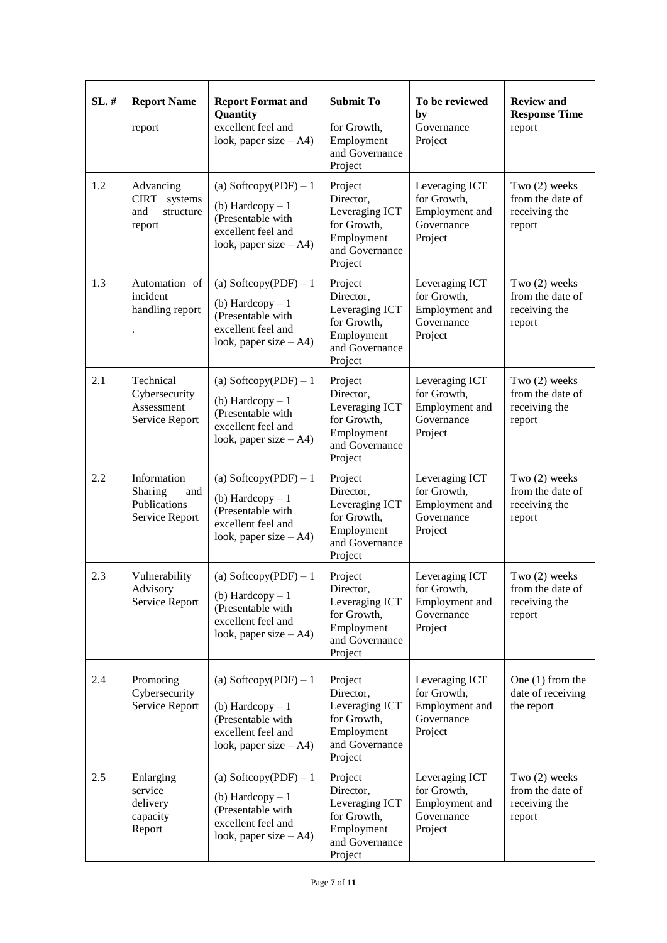| SL.# | <b>Report Name</b>                                                | <b>Report Format and</b><br>Quantity                                                                                | <b>Submit To</b>                                                                                 | To be reviewed<br>by                                                     | <b>Review and</b><br><b>Response Time</b>                    |
|------|-------------------------------------------------------------------|---------------------------------------------------------------------------------------------------------------------|--------------------------------------------------------------------------------------------------|--------------------------------------------------------------------------|--------------------------------------------------------------|
|      | report                                                            | excellent feel and<br>look, paper size $-A4$ )                                                                      | for Growth,<br>Employment<br>and Governance<br>Project                                           | Governance<br>Project                                                    | report                                                       |
| 1.2  | Advancing<br><b>CIRT</b><br>systems<br>and<br>structure<br>report | (a) Softcopy(PDF) $-1$<br>(b) Hardcopy $-1$<br>(Presentable with<br>excellent feel and<br>look, paper size $- A4$ ) | Project<br>Director,<br>Leveraging ICT<br>for Growth,<br>Employment<br>and Governance<br>Project | Leveraging ICT<br>for Growth,<br>Employment and<br>Governance<br>Project | Two (2) weeks<br>from the date of<br>receiving the<br>report |
| 1.3  | Automation of<br>incident<br>handling report                      | (a) Softcopy(PDF) $-1$<br>(b) Hardcopy $-1$<br>(Presentable with<br>excellent feel and<br>look, paper size $- A4$ ) | Project<br>Director,<br>Leveraging ICT<br>for Growth,<br>Employment<br>and Governance<br>Project | Leveraging ICT<br>for Growth,<br>Employment and<br>Governance<br>Project | Two (2) weeks<br>from the date of<br>receiving the<br>report |
| 2.1  | Technical<br>Cybersecurity<br>Assessment<br>Service Report        | (a) Softcopy(PDF) $-1$<br>(b) Hardcopy $-1$<br>(Presentable with<br>excellent feel and<br>look, paper size $- A4$ ) | Project<br>Director,<br>Leveraging ICT<br>for Growth,<br>Employment<br>and Governance<br>Project | Leveraging ICT<br>for Growth,<br>Employment and<br>Governance<br>Project | Two (2) weeks<br>from the date of<br>receiving the<br>report |
| 2.2  | Information<br>Sharing<br>and<br>Publications<br>Service Report   | (a) Softcopy(PDF) $-1$<br>(b) Hardcopy $-1$<br>(Presentable with<br>excellent feel and<br>look, paper size $-A4$ )  | Project<br>Director,<br>Leveraging ICT<br>for Growth,<br>Employment<br>and Governance<br>Project | Leveraging ICT<br>for Growth,<br>Employment and<br>Governance<br>Project | Two (2) weeks<br>from the date of<br>receiving the<br>report |
| 2.3  | Vulnerability<br>Advisory<br>Service Report                       | (a) Softcopy(PDF) $-1$<br>(b) Hardcopy $-1$<br>(Presentable with<br>excellent feel and<br>look, paper size $-A4$ )  | Project<br>Director,<br>Leveraging ICT<br>for Growth,<br>Employment<br>and Governance<br>Project | Leveraging ICT<br>for Growth,<br>Employment and<br>Governance<br>Project | Two (2) weeks<br>from the date of<br>receiving the<br>report |
| 2.4  | Promoting<br>Cybersecurity<br>Service Report                      | (a) Softcopy(PDF) $-1$<br>(b) Hardcopy $-1$<br>(Presentable with<br>excellent feel and<br>look, paper size $-A4$ )  | Project<br>Director,<br>Leveraging ICT<br>for Growth,<br>Employment<br>and Governance<br>Project | Leveraging ICT<br>for Growth,<br>Employment and<br>Governance<br>Project | One $(1)$ from the<br>date of receiving<br>the report        |
| 2.5  | Enlarging<br>service<br>delivery<br>capacity<br>Report            | (a) Softcopy(PDF) $-1$<br>(b) Hardcopy $-1$<br>(Presentable with<br>excellent feel and<br>look, paper size $-A4$ )  | Project<br>Director,<br>Leveraging ICT<br>for Growth,<br>Employment<br>and Governance<br>Project | Leveraging ICT<br>for Growth,<br>Employment and<br>Governance<br>Project | Two (2) weeks<br>from the date of<br>receiving the<br>report |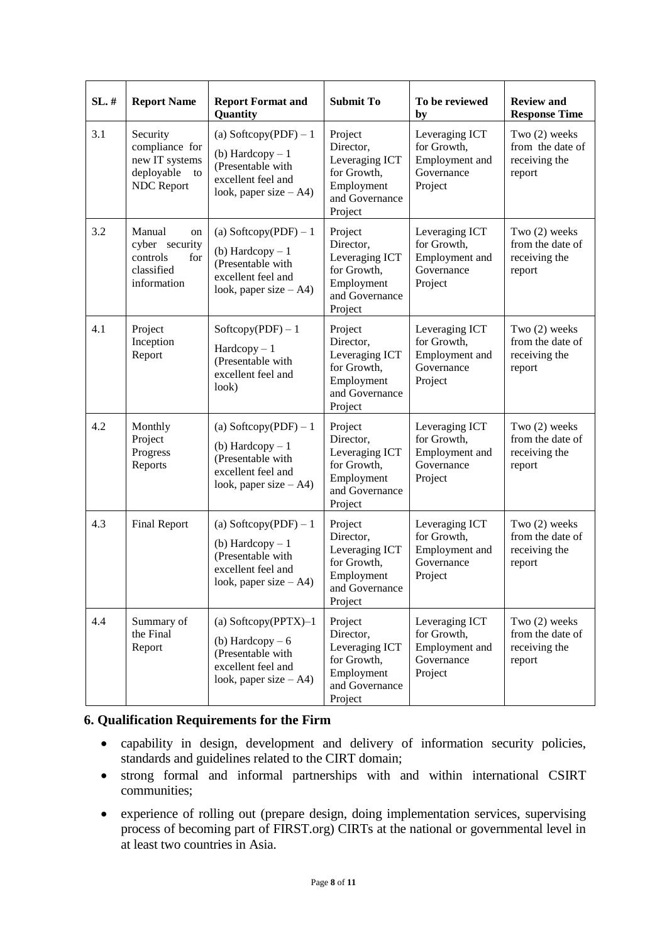| SL.# | <b>Report Name</b>                                                                    | <b>Report Format and</b><br>Quantity                                                                                | <b>Submit To</b>                                                                                 | To be reviewed<br>by                                                     | <b>Review and</b><br><b>Response Time</b>                    |
|------|---------------------------------------------------------------------------------------|---------------------------------------------------------------------------------------------------------------------|--------------------------------------------------------------------------------------------------|--------------------------------------------------------------------------|--------------------------------------------------------------|
| 3.1  | Security<br>compliance for<br>new IT systems<br>deployable<br>to<br><b>NDC</b> Report | (a) Softcopy(PDF) $-1$<br>(b) Hardcopy $-1$<br>(Presentable with<br>excellent feel and<br>look, paper size $- A4$ ) | Project<br>Director,<br>Leveraging ICT<br>for Growth,<br>Employment<br>and Governance<br>Project | Leveraging ICT<br>for Growth,<br>Employment and<br>Governance<br>Project | Two (2) weeks<br>from the date of<br>receiving the<br>report |
| 3.2  | Manual<br>on<br>cyber security<br>controls<br>for<br>classified<br>information        | (a) Softcopy(PDF) $-1$<br>(b) Hardcopy $-1$<br>(Presentable with<br>excellent feel and<br>look, paper size $-A4$ )  | Project<br>Director,<br>Leveraging ICT<br>for Growth,<br>Employment<br>and Governance<br>Project | Leveraging ICT<br>for Growth,<br>Employment and<br>Governance<br>Project | Two (2) weeks<br>from the date of<br>receiving the<br>report |
| 4.1  | Project<br>Inception<br>Report                                                        | $Soficopy(PDF) - 1$<br>$Hardcopy-1$<br>(Presentable with<br>excellent feel and<br>look)                             | Project<br>Director,<br>Leveraging ICT<br>for Growth,<br>Employment<br>and Governance<br>Project | Leveraging ICT<br>for Growth,<br>Employment and<br>Governance<br>Project | Two (2) weeks<br>from the date of<br>receiving the<br>report |
| 4.2  | Monthly<br>Project<br>Progress<br>Reports                                             | (a) Softcopy(PDF) $-1$<br>(b) Hardcopy $-1$<br>(Presentable with<br>excellent feel and<br>look, paper size $-A4$ )  | Project<br>Director,<br>Leveraging ICT<br>for Growth,<br>Employment<br>and Governance<br>Project | Leveraging ICT<br>for Growth,<br>Employment and<br>Governance<br>Project | Two (2) weeks<br>from the date of<br>receiving the<br>report |
| 4.3  | <b>Final Report</b>                                                                   | (a) Softcopy(PDF) $-1$<br>(b) Hardcopy $-1$<br>(Presentable with<br>excellent feel and<br>look, paper size $- A4$ ) | Project<br>Director,<br>Leveraging ICT<br>for Growth,<br>Employment<br>and Governance<br>Project | Leveraging ICT<br>for Growth,<br>Employment and<br>Governance<br>Project | Two (2) weeks<br>from the date of<br>receiving the<br>report |
| 4.4  | Summary of<br>the Final<br>Report                                                     | (a) Softcopy(PPTX) $-1$<br>(b) Hardcopy $-6$<br>(Presentable with<br>excellent feel and<br>look, paper size $-A4$ ) | Project<br>Director,<br>Leveraging ICT<br>for Growth,<br>Employment<br>and Governance<br>Project | Leveraging ICT<br>for Growth,<br>Employment and<br>Governance<br>Project | Two (2) weeks<br>from the date of<br>receiving the<br>report |

## **6. Qualification Requirements for the Firm**

- capability in design, development and delivery of information security policies, standards and guidelines related to the CIRT domain;
- strong formal and informal partnerships with and within international CSIRT communities;
- experience of rolling out (prepare design, doing implementation services, supervising process of becoming part of FIRST.org) CIRTs at the national or governmental level in at least two countries in Asia.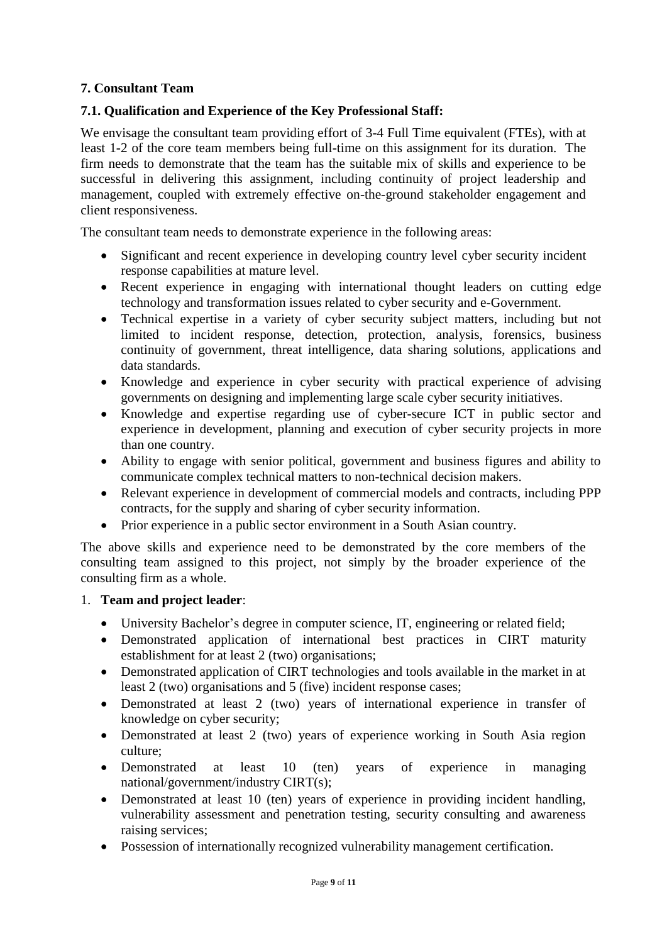# **7. Consultant Team**

# **7.1. Qualification and Experience of the Key Professional Staff:**

We envisage the consultant team providing effort of 3-4 Full Time equivalent (FTEs), with at least 1-2 of the core team members being full-time on this assignment for its duration. The firm needs to demonstrate that the team has the suitable mix of skills and experience to be successful in delivering this assignment, including continuity of project leadership and management, coupled with extremely effective on-the-ground stakeholder engagement and client responsiveness.

The consultant team needs to demonstrate experience in the following areas:

- Significant and recent experience in developing country level cyber security incident response capabilities at mature level.
- Recent experience in engaging with international thought leaders on cutting edge technology and transformation issues related to cyber security and e-Government.
- Technical expertise in a variety of cyber security subject matters, including but not limited to incident response, detection, protection, analysis, forensics, business continuity of government, threat intelligence, data sharing solutions, applications and data standards.
- Knowledge and experience in cyber security with practical experience of advising governments on designing and implementing large scale cyber security initiatives.
- Knowledge and expertise regarding use of cyber-secure ICT in public sector and experience in development, planning and execution of cyber security projects in more than one country.
- Ability to engage with senior political, government and business figures and ability to communicate complex technical matters to non-technical decision makers.
- Relevant experience in development of commercial models and contracts, including PPP contracts, for the supply and sharing of cyber security information.
- Prior experience in a public sector environment in a South Asian country.

The above skills and experience need to be demonstrated by the core members of the consulting team assigned to this project, not simply by the broader experience of the consulting firm as a whole.

#### 1. **Team and project leader**:

- University Bachelor's degree in computer science, IT, engineering or related field;
- Demonstrated application of international best practices in CIRT maturity establishment for at least 2 (two) organisations;
- Demonstrated application of CIRT technologies and tools available in the market in at least 2 (two) organisations and 5 (five) incident response cases;
- Demonstrated at least 2 (two) years of international experience in transfer of knowledge on cyber security;
- Demonstrated at least 2 (two) years of experience working in South Asia region culture;
- Demonstrated at least 10 (ten) years of experience in managing national/government/industry CIRT(s);
- Demonstrated at least 10 (ten) years of experience in providing incident handling, vulnerability assessment and penetration testing, security consulting and awareness raising services;
- Possession of internationally recognized vulnerability management certification.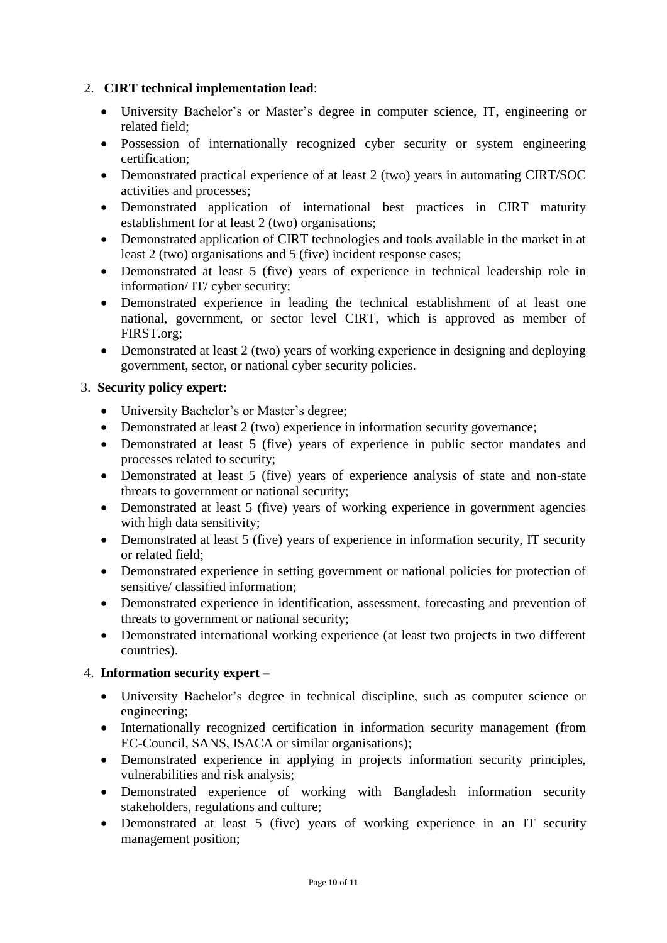# 2. **CIRT technical implementation lead**:

- University Bachelor's or Master's degree in computer science, IT, engineering or related field;
- Possession of internationally recognized cyber security or system engineering certification;
- Demonstrated practical experience of at least 2 (two) years in automating CIRT/SOC activities and processes;
- Demonstrated application of international best practices in CIRT maturity establishment for at least 2 (two) organisations;
- Demonstrated application of CIRT technologies and tools available in the market in at least 2 (two) organisations and 5 (five) incident response cases;
- Demonstrated at least 5 (five) years of experience in technical leadership role in information/ IT/ cyber security;
- Demonstrated experience in leading the technical establishment of at least one national, government, or sector level CIRT, which is approved as member of FIRST.org;
- Demonstrated at least 2 (two) years of working experience in designing and deploying government, sector, or national cyber security policies.

## 3. **Security policy expert:**

- University Bachelor's or Master's degree;
- Demonstrated at least 2 (two) experience in information security governance;
- Demonstrated at least 5 (five) years of experience in public sector mandates and processes related to security;
- Demonstrated at least 5 (five) years of experience analysis of state and non-state threats to government or national security;
- Demonstrated at least 5 (five) years of working experience in government agencies with high data sensitivity;
- Demonstrated at least 5 (five) years of experience in information security, IT security or related field;
- Demonstrated experience in setting government or national policies for protection of sensitive/ classified information;
- Demonstrated experience in identification, assessment, forecasting and prevention of threats to government or national security;
- Demonstrated international working experience (at least two projects in two different countries).

## 4. **Information security expert** –

- University Bachelor's degree in technical discipline, such as computer science or engineering;
- Internationally recognized certification in information security management (from EC-Council, SANS, ISACA or similar organisations);
- Demonstrated experience in applying in projects information security principles, vulnerabilities and risk analysis;
- Demonstrated experience of working with Bangladesh information security stakeholders, regulations and culture;
- Demonstrated at least 5 (five) years of working experience in an IT security management position;